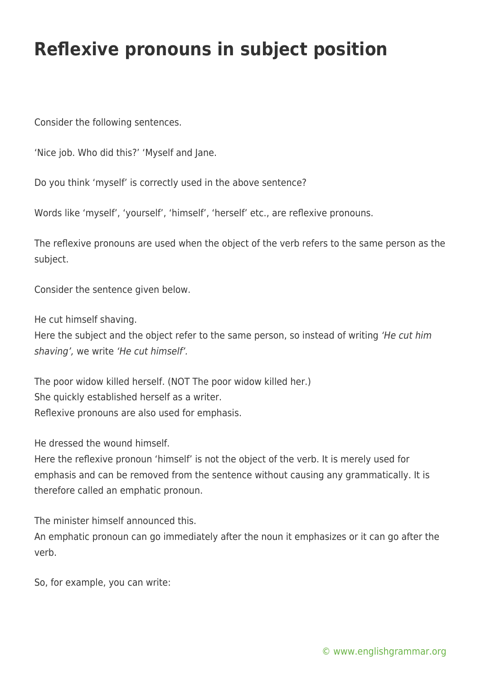## **Reflexive pronouns in subject position**

Consider the following sentences.

'Nice job. Who did this?' 'Myself and Jane.

Do you think 'myself' is correctly used in the above sentence?

Words like 'myself', 'yourself', 'himself', 'herself' etc., are reflexive pronouns.

The reflexive pronouns are used when the object of the verb refers to the same person as the subject.

Consider the sentence given below.

He cut himself shaving.

Here the subject and the object refer to the same person, so instead of writing 'He cut him shaving', we write 'He cut himself'.

The poor widow killed herself. (NOT The poor widow killed her.) She quickly established herself as a writer. Reflexive pronouns are also used for emphasis.

He dressed the wound himself.

Here the reflexive pronoun 'himself' is not the object of the verb. It is merely used for emphasis and can be removed from the sentence without causing any grammatically. It is therefore called an emphatic pronoun.

The minister himself announced this.

An emphatic pronoun can go immediately after the noun it emphasizes or it can go after the verb.

So, for example, you can write: